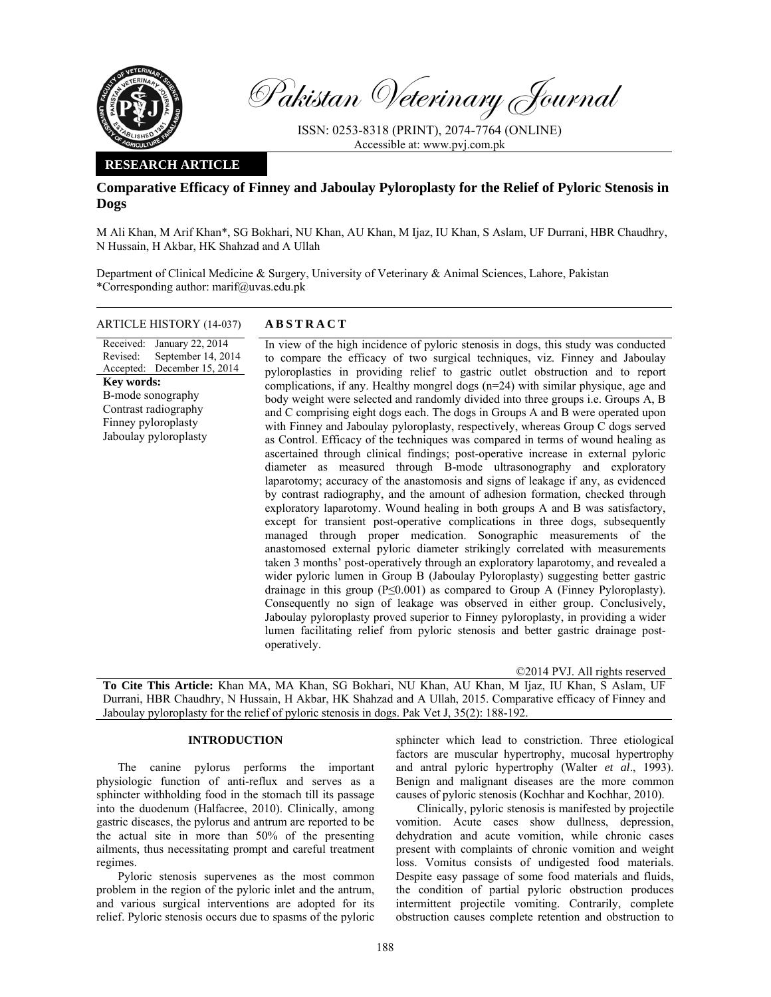

Pakistan Veterinary Journal

ISSN: 0253-8318 (PRINT), 2074-7764 (ONLINE) Accessible at: www.pvj.com.pk

## **RESEARCH ARTICLE**

## **Comparative Efficacy of Finney and Jaboulay Pyloroplasty for the Relief of Pyloric Stenosis in Dogs**

M Ali Khan, M Arif Khan\*, SG Bokhari, NU Khan, AU Khan, M Ijaz, IU Khan, S Aslam, UF Durrani, HBR Chaudhry, N Hussain, H Akbar, HK Shahzad and A Ullah

Department of Clinical Medicine & Surgery, University of Veterinary & Animal Sciences, Lahore, Pakistan \*Corresponding author: marif@uvas.edu.pk

# ARTICLE HISTORY (14-037) **ABSTRACT**

Received: Revised: Accepted: December 15, 2014 January 22, 2014 September 14, 2014 **Key words:**  B-mode sonography Contrast radiography Finney pyloroplasty Jaboulay pyloroplasty

 In view of the high incidence of pyloric stenosis in dogs, this study was conducted to compare the efficacy of two surgical techniques, viz. Finney and Jaboulay pyloroplasties in providing relief to gastric outlet obstruction and to report complications, if any. Healthy mongrel dogs  $(n=24)$  with similar physique, age and body weight were selected and randomly divided into three groups i.e. Groups A, B and C comprising eight dogs each. The dogs in Groups A and B were operated upon with Finney and Jaboulay pyloroplasty, respectively, whereas Group C dogs served as Control. Efficacy of the techniques was compared in terms of wound healing as ascertained through clinical findings; post-operative increase in external pyloric diameter as measured through B-mode ultrasonography and exploratory laparotomy; accuracy of the anastomosis and signs of leakage if any, as evidenced by contrast radiography, and the amount of adhesion formation, checked through exploratory laparotomy. Wound healing in both groups A and B was satisfactory, except for transient post-operative complications in three dogs, subsequently managed through proper medication. Sonographic measurements of the anastomosed external pyloric diameter strikingly correlated with measurements taken 3 months' post-operatively through an exploratory laparotomy, and revealed a wider pyloric lumen in Group B (Jaboulay Pyloroplasty) suggesting better gastric drainage in this group ( $P \leq 0.001$ ) as compared to Group A (Finney Pyloroplasty). Consequently no sign of leakage was observed in either group. Conclusively, Jaboulay pyloroplasty proved superior to Finney pyloroplasty, in providing a wider lumen facilitating relief from pyloric stenosis and better gastric drainage postoperatively.

©2014 PVJ. All rights reserved

**To Cite This Article:** Khan MA, MA Khan, SG Bokhari, NU Khan, AU Khan, M Ijaz, IU Khan, S Aslam, UF Durrani, HBR Chaudhry, N Hussain, H Akbar, HK Shahzad and A Ullah, 2015. Comparative efficacy of Finney and Jaboulay pyloroplasty for the relief of pyloric stenosis in dogs. Pak Vet J, 35(2): 188-192.

## **INTRODUCTION**

The canine pylorus performs the important physiologic function of anti-reflux and serves as a sphincter withholding food in the stomach till its passage into the duodenum (Halfacree, 2010). Clinically, among gastric diseases, the pylorus and antrum are reported to be the actual site in more than 50% of the presenting ailments, thus necessitating prompt and careful treatment regimes.

Pyloric stenosis supervenes as the most common problem in the region of the pyloric inlet and the antrum, and various surgical interventions are adopted for its relief. Pyloric stenosis occurs due to spasms of the pyloric

sphincter which lead to constriction. Three etiological factors are muscular hypertrophy, mucosal hypertrophy and antral pyloric hypertrophy (Walter *et al*., 1993). Benign and malignant diseases are the more common causes of pyloric stenosis (Kochhar and Kochhar, 2010).

Clinically, pyloric stenosis is manifested by projectile vomition. Acute cases show dullness, depression, dehydration and acute vomition, while chronic cases present with complaints of chronic vomition and weight loss. Vomitus consists of undigested food materials. Despite easy passage of some food materials and fluids, the condition of partial pyloric obstruction produces intermittent projectile vomiting. Contrarily, complete obstruction causes complete retention and obstruction to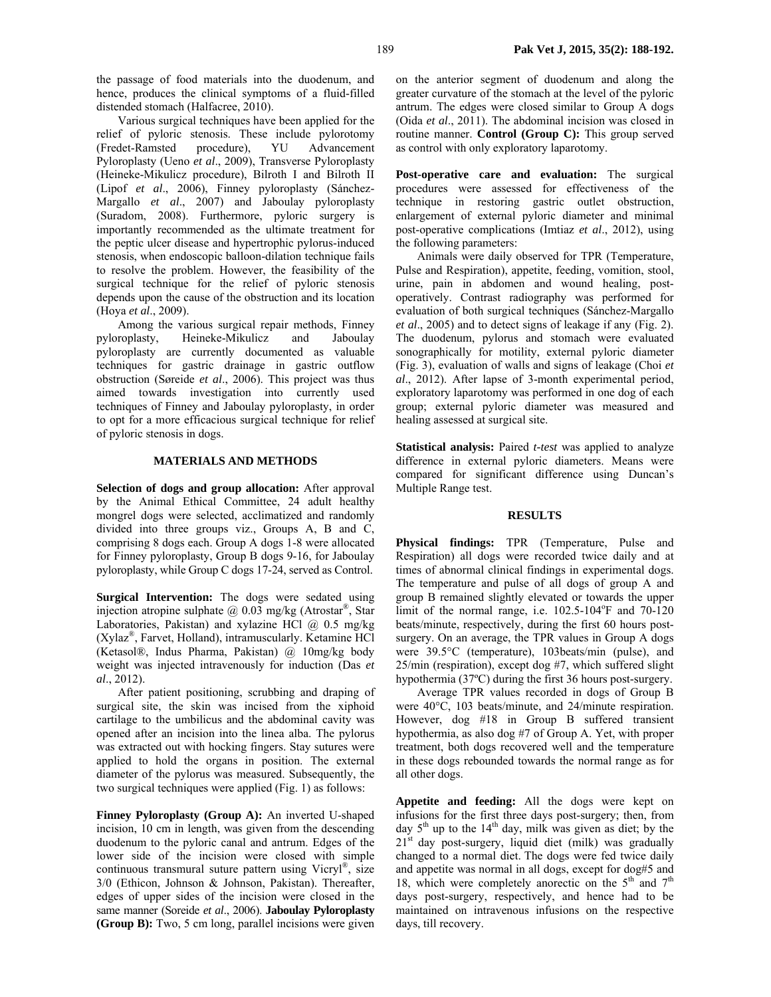the passage of food materials into the duodenum, and hence, produces the clinical symptoms of a fluid-filled distended stomach (Halfacree, 2010).

Various surgical techniques have been applied for the relief of pyloric stenosis. These include pylorotomy (Fredet-Ramsted procedure), YU Advancement Pyloroplasty (Ueno *et al*., 2009), Transverse Pyloroplasty (Heineke-Mikulicz procedure), Bilroth I and Bilroth II (Lipof *et al*., 2006), Finney pyloroplasty (Sánchez-Margallo *et al*., 2007) and Jaboulay pyloroplasty (Suradom, 2008). Furthermore, pyloric surgery is importantly recommended as the ultimate treatment for the peptic ulcer disease and hypertrophic pylorus-induced stenosis, when endoscopic balloon-dilation technique fails to resolve the problem. However, the feasibility of the surgical technique for the relief of pyloric stenosis depends upon the cause of the obstruction and its location (Hoya *et al*., 2009).

Among the various surgical repair methods, Finney pyloroplasty, Heineke-Mikulicz and Jaboulay pyloroplasty are currently documented as valuable techniques for gastric drainage in gastric outflow obstruction (Søreide *et al*., 2006). This project was thus aimed towards investigation into currently used techniques of Finney and Jaboulay pyloroplasty, in order to opt for a more efficacious surgical technique for relief of pyloric stenosis in dogs.

#### **MATERIALS AND METHODS**

**Selection of dogs and group allocation:** After approval by the Animal Ethical Committee, 24 adult healthy mongrel dogs were selected, acclimatized and randomly divided into three groups viz., Groups A, B and C, comprising 8 dogs each. Group A dogs 1-8 were allocated for Finney pyloroplasty, Group B dogs 9-16, for Jaboulay pyloroplasty, while Group C dogs 17-24, served as Control.

**Surgical Intervention:** The dogs were sedated using injection atropine sulphate  $\omega$  0.03 mg/kg (Atrostar<sup>®</sup>, Star Laboratories, Pakistan) and xylazine HCl  $\omega$  0.5 mg/kg (Xylaz®, Farvet, Holland), intramuscularly. Ketamine HCl (Ketasol®, Indus Pharma, Pakistan) @ 10mg/kg body weight was injected intravenously for induction (Das *et al*., 2012).

After patient positioning, scrubbing and draping of surgical site, the skin was incised from the xiphoid cartilage to the umbilicus and the abdominal cavity was opened after an incision into the linea alba. The pylorus was extracted out with hocking fingers. Stay sutures were applied to hold the organs in position. The external diameter of the pylorus was measured. Subsequently, the two surgical techniques were applied (Fig. 1) as follows:

**Finney Pyloroplasty (Group A):** An inverted U-shaped incision, 10 cm in length, was given from the descending duodenum to the pyloric canal and antrum. Edges of the lower side of the incision were closed with simple continuous transmural suture pattern using Vicryl®, size 3/0 (Ethicon, Johnson & Johnson, Pakistan). Thereafter, edges of upper sides of the incision were closed in the same manner (Soreide *et al*., 2006). **Jaboulay Pyloroplasty (Group B):** Two, 5 cm long, parallel incisions were given on the anterior segment of duodenum and along the greater curvature of the stomach at the level of the pyloric antrum. The edges were closed similar to Group A dogs (Oida *et al*., 2011). The abdominal incision was closed in routine manner. **Control (Group C):** This group served as control with only exploratory laparotomy.

**Post-operative care and evaluation:** The surgical procedures were assessed for effectiveness of the technique in restoring gastric outlet obstruction, enlargement of external pyloric diameter and minimal post-operative complications (Imtiaz *et al*., 2012), using the following parameters:

Animals were daily observed for TPR (Temperature, Pulse and Respiration), appetite, feeding, vomition, stool, urine, pain in abdomen and wound healing, postoperatively. Contrast radiography was performed for evaluation of both surgical techniques (Sánchez-Margallo *et al*., 2005) and to detect signs of leakage if any (Fig. 2). The duodenum, pylorus and stomach were evaluated sonographically for motility, external pyloric diameter (Fig. 3), evaluation of walls and signs of leakage (Choi *et al*., 2012). After lapse of 3-month experimental period, exploratory laparotomy was performed in one dog of each group; external pyloric diameter was measured and healing assessed at surgical site.

**Statistical analysis:** Paired *t-test* was applied to analyze difference in external pyloric diameters. Means were compared for significant difference using Duncan's Multiple Range test.

#### **RESULTS**

**Physical findings:** TPR (Temperature, Pulse and Respiration) all dogs were recorded twice daily and at times of abnormal clinical findings in experimental dogs. The temperature and pulse of all dogs of group A and group B remained slightly elevated or towards the upper limit of the normal range, i.e.  $102.5 - 104$ <sup>o</sup>F and  $70 - 120$ beats/minute, respectively, during the first 60 hours postsurgery. On an average, the TPR values in Group A dogs were 39.5°C (temperature), 103beats/min (pulse), and 25/min (respiration), except dog #7, which suffered slight hypothermia (37ºC) during the first 36 hours post-surgery.

Average TPR values recorded in dogs of Group B were 40°C, 103 beats/minute, and 24/minute respiration. However, dog #18 in Group B suffered transient hypothermia, as also dog #7 of Group A. Yet, with proper treatment, both dogs recovered well and the temperature in these dogs rebounded towards the normal range as for all other dogs.

**Appetite and feeding:** All the dogs were kept on infusions for the first three days post-surgery; then, from day  $5<sup>th</sup>$  up to the 14<sup>th</sup> day, milk was given as diet; by the  $21<sup>st</sup>$  day post-surgery, liquid diet (milk) was gradually changed to a normal diet. The dogs were fed twice daily and appetite was normal in all dogs, except for dog#5 and 18, which were completely anorectic on the  $5<sup>th</sup>$  and  $7<sup>th</sup>$ days post-surgery, respectively, and hence had to be maintained on intravenous infusions on the respective days, till recovery.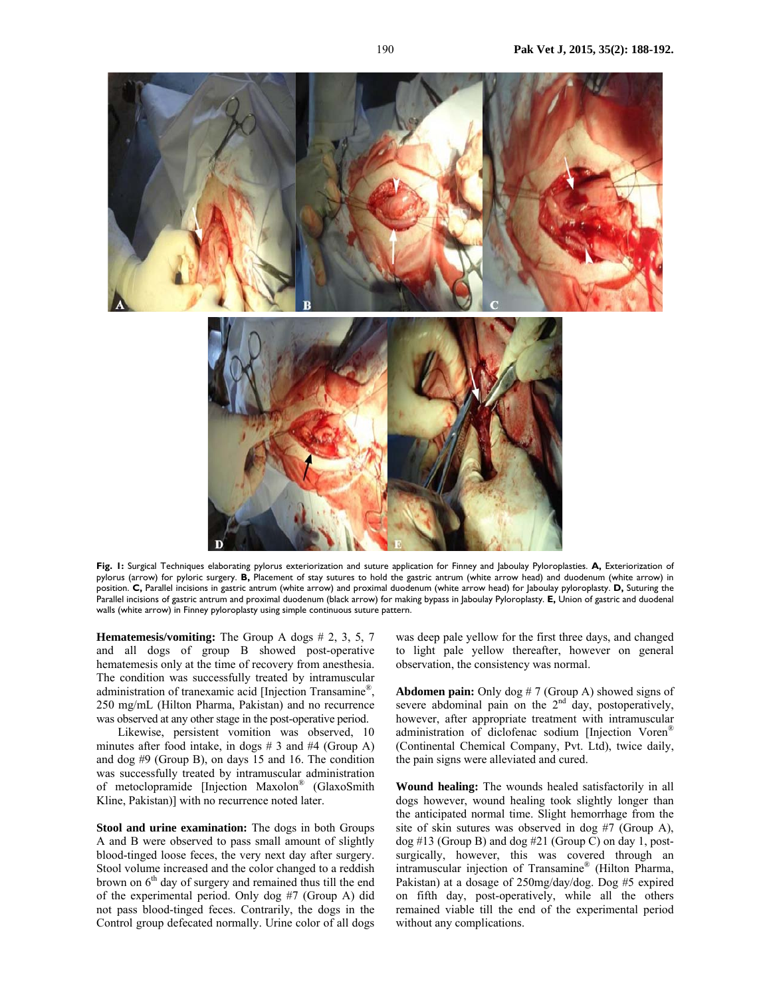

**Fig. 1:** Surgical Techniques elaborating pylorus exteriorization and suture application for Finney and Jaboulay Pyloroplasties. **A,** Exteriorization of pylorus (arrow) for pyloric surgery. **B,** Placement of stay sutures to hold the gastric antrum (white arrow head) and duodenum (white arrow) in position. **C,** Parallel incisions in gastric antrum (white arrow) and proximal duodenum (white arrow head) for Jaboulay pyloroplasty. **D,** Suturing the Parallel incisions of gastric antrum and proximal duodenum (black arrow) for making bypass in Jaboulay Pyloroplasty. **E,** Union of gastric and duodenal walls (white arrow) in Finney pyloroplasty using simple continuous suture pattern.

**Hematemesis/vomiting:** The Group A dogs # 2, 3, 5, 7 and all dogs of group B showed post-operative hematemesis only at the time of recovery from anesthesia. The condition was successfully treated by intramuscular administration of tranexamic acid [Injection Transamine®, 250 mg/mL (Hilton Pharma, Pakistan) and no recurrence was observed at any other stage in the post-operative period.

Likewise, persistent vomition was observed, 10 minutes after food intake, in dogs # 3 and #4 (Group A) and dog #9 (Group B), on days 15 and 16. The condition was successfully treated by intramuscular administration of metoclopramide [Injection Maxolon® (GlaxoSmith Kline, Pakistan)] with no recurrence noted later.

**Stool and urine examination:** The dogs in both Groups A and B were observed to pass small amount of slightly blood-tinged loose feces, the very next day after surgery. Stool volume increased and the color changed to a reddish brown on  $6<sup>th</sup>$  day of surgery and remained thus till the end of the experimental period. Only dog #7 (Group A) did not pass blood-tinged feces. Contrarily, the dogs in the Control group defecated normally. Urine color of all dogs was deep pale yellow for the first three days, and changed to light pale yellow thereafter, however on general observation, the consistency was normal.

**Abdomen pain:** Only dog # 7 (Group A) showed signs of severe abdominal pain on the  $2<sup>nd</sup>$  day, postoperatively, however, after appropriate treatment with intramuscular administration of diclofenac sodium [Injection Voren® (Continental Chemical Company, Pvt. Ltd), twice daily, the pain signs were alleviated and cured.

**Wound healing:** The wounds healed satisfactorily in all dogs however, wound healing took slightly longer than the anticipated normal time. Slight hemorrhage from the site of skin sutures was observed in dog #7 (Group A),  $\log$  #13 (Group B) and  $\log$  #21 (Group C) on day 1, postsurgically, however, this was covered through an intramuscular injection of Transamine® (Hilton Pharma, Pakistan) at a dosage of 250mg/day/dog. Dog #5 expired on fifth day, post-operatively, while all the others remained viable till the end of the experimental period without any complications.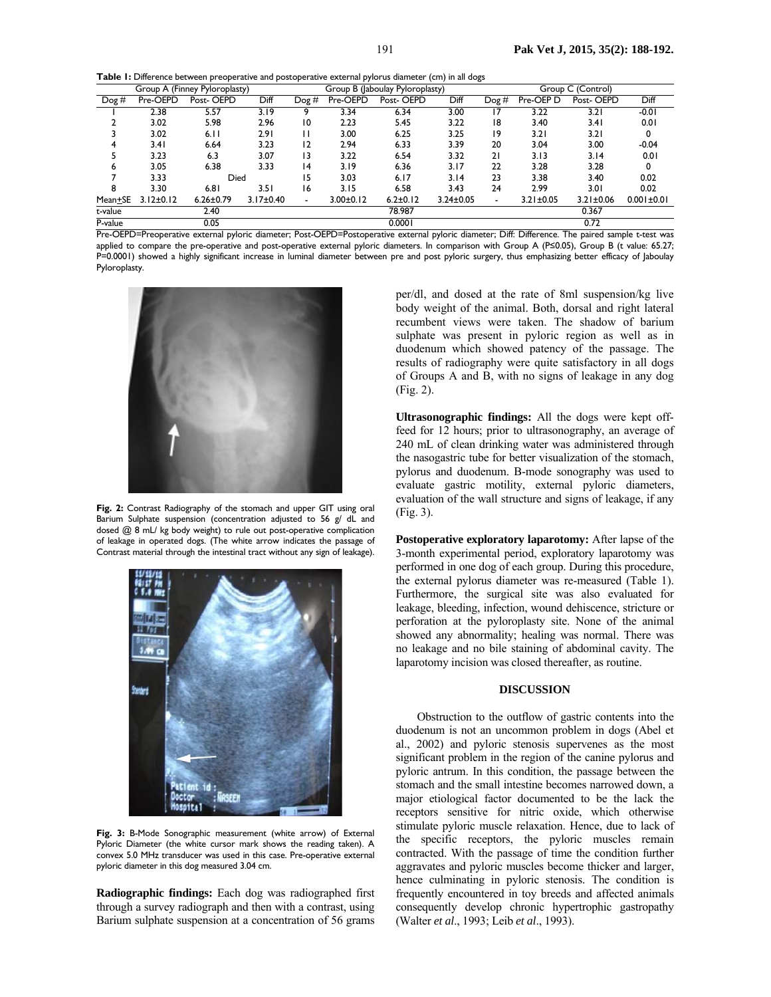**Table 1:** Difference between preoperative and postoperative external pylorus diameter (cm) in all dogs

| Group A (Finney Pyloroplasty) |                 |                 |                 | Group B (Jaboulay Pyloroplasty) |                 |                |                 | Group C (Control) |                 |                 |                  |
|-------------------------------|-----------------|-----------------|-----------------|---------------------------------|-----------------|----------------|-----------------|-------------------|-----------------|-----------------|------------------|
| $\log H$                      | Pre-OEPD        | Post-OEPD       | Diff            | $\log H$                        | Pre-OEPD        | Post-OEPD      | Diff            | $\log H$          | Pre-OEP D       | Post-OEPD       | Diff             |
|                               | 2.38            | 5.57            | 3.19            |                                 | 3.34            | 6.34           | 3.00            |                   | 3.22            | 3.21            | $-0.01$          |
|                               | 3.02            | 5.98            | 2.96            | 10                              | 2.23            | 5.45           | 3.22            | 18                | 3.40            | 3.41            | 0.01             |
|                               | 3.02            | 6.11            | 2.91            |                                 | 3.00            | 6.25           | 3.25            | 19                | 3.2 I           | 3.21            | 0                |
| 4                             | 3.41            | 6.64            | 3.23            | 2                               | 2.94            | 6.33           | 3.39            | 20                | 3.04            | 3.00            | $-0.04$          |
|                               | 3.23            | 6.3             | 3.07            | $\overline{13}$                 | 3.22            | 6.54           | 3.32            | 21                | 3.13            | 3.14            | 0.01             |
| 6                             | 3.05            | 6.38            | 3.33            | 4                               | 3.19            | 6.36           | 3.17            | 22                | 3.28            | 3.28            | 0                |
|                               | 3.33            | Died            |                 | 15                              | 3.03            | 6.17           | 3.I4            | 23                | 3.38            | 3.40            | 0.02             |
| 8                             | 3.30            | 6.81            | 3.5 I           | 16                              | 3.15            | 6.58           | 3.43            | 24                | 2.99            | 3.01            | 0.02             |
| Mean+SE                       | $3.12 \pm 0.12$ | $6.26 \pm 0.79$ | $3.17 \pm 0.40$ | $\overline{\phantom{0}}$        | $3.00 \pm 0.12$ | $6.2 \pm 0.12$ | $3.24 \pm 0.05$ |                   | $3.21 \pm 0.05$ | $3.21 \pm 0.06$ | $0.001 \pm 0.01$ |
| t-value                       |                 | 2.40            |                 |                                 |                 | 78.987         |                 |                   |                 | 0.367           |                  |
| P-value                       | 0.05            |                 |                 |                                 | 0.0001          |                |                 |                   | 0.72            |                 |                  |

Pre-OEPD=Preoperative external pyloric diameter; Post-OEPD=Postoperative external pyloric diameter; Diff: Difference. The paired sample t-test was applied to compare the pre-operative and post-operative external pyloric diameters. In comparison with Group A (P≤0.05), Group B (t value: 65.27; P=0.0001) showed a highly significant increase in luminal diameter between pre and post pyloric surgery, thus emphasizing better efficacy of Jaboulay Pyloroplasty.



**Fig. 2:** Contrast Radiography of the stomach and upper GIT using oral Barium Sulphate suspension (concentration adjusted to 56 g/ dL and dosed @ 8 mL/ kg body weight) to rule out post-operative complication of leakage in operated dogs. (The white arrow indicates the passage of Contrast material through the intestinal tract without any sign of leakage).



**Fig. 3:** B-Mode Sonographic measurement (white arrow) of External Pyloric Diameter (the white cursor mark shows the reading taken). A convex 5.0 MHz transducer was used in this case. Pre-operative external pyloric diameter in this dog measured 3.04 cm.

**Radiographic findings:** Each dog was radiographed first through a survey radiograph and then with a contrast, using Barium sulphate suspension at a concentration of 56 grams per/dl, and dosed at the rate of 8ml suspension/kg live body weight of the animal. Both, dorsal and right lateral recumbent views were taken. The shadow of barium sulphate was present in pyloric region as well as in duodenum which showed patency of the passage. The results of radiography were quite satisfactory in all dogs of Groups A and B, with no signs of leakage in any dog (Fig. 2).

**Ultrasonographic findings:** All the dogs were kept offfeed for 12 hours; prior to ultrasonography, an average of 240 mL of clean drinking water was administered through the nasogastric tube for better visualization of the stomach, pylorus and duodenum. B-mode sonography was used to evaluate gastric motility, external pyloric diameters, evaluation of the wall structure and signs of leakage, if any (Fig. 3).

**Postoperative exploratory laparotomy:** After lapse of the 3-month experimental period, exploratory laparotomy was performed in one dog of each group. During this procedure, the external pylorus diameter was re-measured (Table 1). Furthermore, the surgical site was also evaluated for leakage, bleeding, infection, wound dehiscence, stricture or perforation at the pyloroplasty site. None of the animal showed any abnormality; healing was normal. There was no leakage and no bile staining of abdominal cavity. The laparotomy incision was closed thereafter, as routine.

## **DISCUSSION**

Obstruction to the outflow of gastric contents into the duodenum is not an uncommon problem in dogs (Abel et al., 2002) and pyloric stenosis supervenes as the most significant problem in the region of the canine pylorus and pyloric antrum. In this condition, the passage between the stomach and the small intestine becomes narrowed down, a major etiological factor documented to be the lack the receptors sensitive for nitric oxide, which otherwise stimulate pyloric muscle relaxation. Hence, due to lack of the specific receptors, the pyloric muscles remain contracted. With the passage of time the condition further aggravates and pyloric muscles become thicker and larger, hence culminating in pyloric stenosis. The condition is frequently encountered in toy breeds and affected animals consequently develop chronic hypertrophic gastropathy (Walter *et al*., 1993; Leib *et al*., 1993).